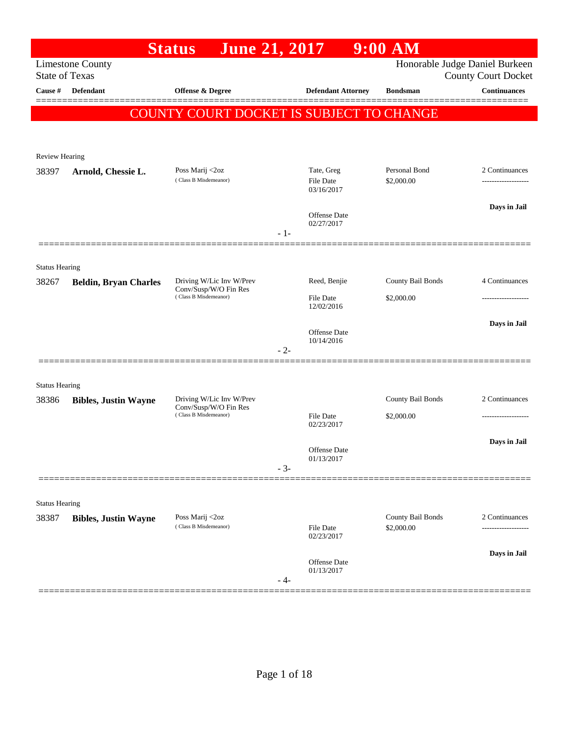|                       |                              | <b>June 21, 2017</b><br><b>Status</b>           |       |                                | $9:00$ AM                   |                                                              |
|-----------------------|------------------------------|-------------------------------------------------|-------|--------------------------------|-----------------------------|--------------------------------------------------------------|
| <b>State of Texas</b> | <b>Limestone County</b>      |                                                 |       |                                |                             | Honorable Judge Daniel Burkeen<br><b>County Court Docket</b> |
| Cause #               | <b>Defendant</b>             | Offense & Degree                                |       | <b>Defendant Attorney</b>      | <b>Bondsman</b>             | <b>Continuances</b>                                          |
|                       |                              |                                                 |       |                                |                             |                                                              |
|                       |                              | <b>COUNTY COURT DOCKET IS SUBJECT TO CHANGE</b> |       |                                |                             |                                                              |
|                       |                              |                                                 |       |                                |                             |                                                              |
| <b>Review Hearing</b> |                              |                                                 |       |                                |                             |                                                              |
| 38397                 | Arnold, Chessie L.           | Poss Marij <2oz<br>(Class B Misdemeanor)        |       | Tate, Greg<br>File Date        | Personal Bond<br>\$2,000.00 | 2 Continuances                                               |
|                       |                              |                                                 |       | 03/16/2017                     |                             |                                                              |
|                       |                              |                                                 |       | Offense Date                   |                             | Days in Jail                                                 |
|                       |                              |                                                 | $-1-$ | 02/27/2017                     |                             |                                                              |
|                       |                              |                                                 |       |                                |                             |                                                              |
| <b>Status Hearing</b> |                              |                                                 |       |                                |                             |                                                              |
| 38267                 | <b>Beldin, Bryan Charles</b> | Driving W/Lic Inv W/Prev                        |       | Reed, Benjie                   | County Bail Bonds           | 4 Continuances                                               |
|                       |                              | Conv/Susp/W/O Fin Res<br>(Class B Misdemeanor)  |       | <b>File Date</b>               | \$2,000.00                  |                                                              |
|                       |                              |                                                 |       | 12/02/2016                     |                             |                                                              |
|                       |                              |                                                 |       | <b>Offense</b> Date            |                             | Days in Jail                                                 |
|                       |                              |                                                 | $-2-$ | 10/14/2016                     |                             |                                                              |
|                       |                              |                                                 |       |                                |                             |                                                              |
| <b>Status Hearing</b> |                              |                                                 |       |                                |                             |                                                              |
| 38386                 | <b>Bibles, Justin Wayne</b>  | Driving W/Lic Inv W/Prev                        |       |                                | County Bail Bonds           | 2 Continuances                                               |
|                       |                              | Conv/Susp/W/O Fin Res<br>(Class B Misdemeanor)  |       | <b>File Date</b>               | \$2,000.00                  | .                                                            |
|                       |                              |                                                 |       | 02/23/2017                     |                             |                                                              |
|                       |                              |                                                 |       | <b>Offense Date</b>            |                             | Days in Jail                                                 |
|                       |                              |                                                 | $-3-$ | 01/13/2017                     |                             |                                                              |
|                       |                              |                                                 |       |                                |                             |                                                              |
| <b>Status Hearing</b> |                              |                                                 |       |                                |                             |                                                              |
| 38387                 | <b>Bibles, Justin Wayne</b>  | Poss Marij <2oz                                 |       |                                | County Bail Bonds           | 2 Continuances                                               |
|                       |                              | (Class B Misdemeanor)                           |       | <b>File Date</b><br>02/23/2017 | \$2,000.00                  |                                                              |
|                       |                              |                                                 |       |                                |                             | Days in Jail                                                 |
|                       |                              |                                                 |       | Offense Date<br>01/13/2017     |                             |                                                              |
|                       |                              |                                                 | - 4-  |                                |                             |                                                              |
|                       |                              |                                                 |       |                                |                             |                                                              |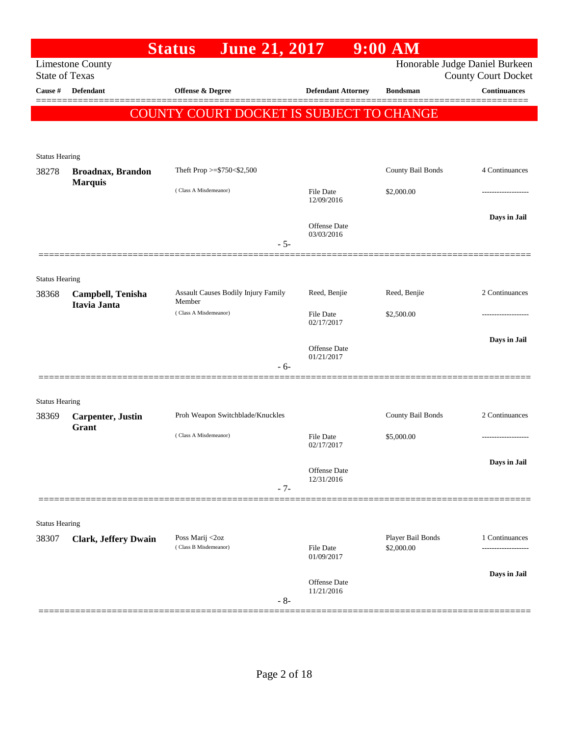|                       |                                   | <b>June 21, 2017</b><br><b>Status</b>         |                                   | $9:00$ AM         |                                                              |
|-----------------------|-----------------------------------|-----------------------------------------------|-----------------------------------|-------------------|--------------------------------------------------------------|
| <b>State of Texas</b> | <b>Limestone County</b>           |                                               |                                   |                   | Honorable Judge Daniel Burkeen<br><b>County Court Docket</b> |
| Cause #               | Defendant                         | <b>Offense &amp; Degree</b>                   | <b>Defendant Attorney</b>         | <b>Bondsman</b>   | <b>Continuances</b>                                          |
|                       |                                   | COUNTY COURT DOCKET IS SUBJECT TO CHANGE      |                                   |                   |                                                              |
|                       |                                   |                                               |                                   |                   |                                                              |
| <b>Status Hearing</b> |                                   |                                               |                                   |                   |                                                              |
| 38278                 | <b>Broadnax, Brandon</b>          | Theft Prop >=\$750<\$2,500                    |                                   | County Bail Bonds | 4 Continuances                                               |
|                       | <b>Marquis</b>                    | (Class A Misdemeanor)                         | File Date<br>12/09/2016           | \$2,000.00        | -----------------                                            |
|                       |                                   |                                               | <b>Offense Date</b><br>03/03/2016 |                   | Days in Jail                                                 |
|                       |                                   |                                               | $-5-$                             |                   |                                                              |
| <b>Status Hearing</b> |                                   |                                               |                                   |                   |                                                              |
| 38368                 | Campbell, Tenisha<br>Itavia Janta | Assault Causes Bodily Injury Family<br>Member | Reed, Benjie                      | Reed, Benjie      | 2 Continuances                                               |
|                       |                                   | (Class A Misdemeanor)                         | <b>File Date</b><br>02/17/2017    | \$2,500.00        | --------------                                               |
|                       |                                   |                                               | Offense Date                      |                   | Days in Jail                                                 |
|                       |                                   |                                               | 01/21/2017<br>$-6-$               |                   |                                                              |
| <b>Status Hearing</b> |                                   |                                               |                                   |                   |                                                              |
| 38369                 | <b>Carpenter</b> , Justin         | Proh Weapon Switchblade/Knuckles              |                                   | County Bail Bonds | 2 Continuances                                               |
|                       | Grant                             | (Class A Misdemeanor)                         | File Date<br>02/17/2017           | \$5,000.00        | -------------------                                          |
|                       |                                   |                                               | <b>Offense Date</b><br>12/31/2016 |                   | Days in Jail                                                 |
|                       |                                   |                                               | $-7-$                             |                   |                                                              |
| <b>Status Hearing</b> |                                   |                                               |                                   |                   |                                                              |
| 38307                 | <b>Clark, Jeffery Dwain</b>       | Poss Marij <2oz<br>(Class B Misdemeanor)      |                                   | Player Bail Bonds | 1 Continuances                                               |
|                       |                                   |                                               | <b>File Date</b><br>01/09/2017    | \$2,000.00        |                                                              |
|                       |                                   |                                               | Offense Date<br>11/21/2016        |                   | Days in Jail                                                 |
|                       |                                   |                                               | $-8-$                             |                   |                                                              |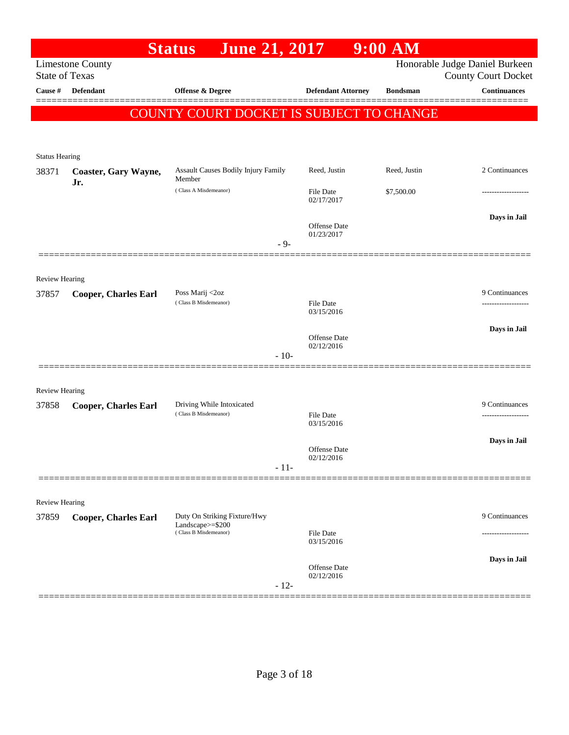|                         |                                                  | <b>June 21, 2017</b><br><b>Status</b>              |                                   | $9:00$ AM       |                                                              |
|-------------------------|--------------------------------------------------|----------------------------------------------------|-----------------------------------|-----------------|--------------------------------------------------------------|
|                         | <b>Limestone County</b><br><b>State of Texas</b> |                                                    |                                   |                 | Honorable Judge Daniel Burkeen<br><b>County Court Docket</b> |
| Cause #                 | <b>Defendant</b>                                 | Offense & Degree                                   | <b>Defendant Attorney</b>         | <b>Bondsman</b> | <b>Continuances</b>                                          |
|                         |                                                  | COUNTY COURT DOCKET IS SUBJECT TO CHANGE           |                                   |                 |                                                              |
| <b>Status Hearing</b>   |                                                  |                                                    |                                   |                 |                                                              |
| 38371                   | Coaster, Gary Wayne,<br>Jr.                      | Assault Causes Bodily Injury Family<br>Member      | Reed, Justin                      | Reed, Justin    | 2 Continuances                                               |
|                         |                                                  | (Class A Misdemeanor)                              | File Date<br>02/17/2017           | \$7,500.00      |                                                              |
|                         | =============                                    | $-9-$                                              | Offense Date<br>01/23/2017        |                 | Days in Jail                                                 |
| Review Hearing          |                                                  |                                                    |                                   |                 |                                                              |
| 37857                   | <b>Cooper, Charles Earl</b>                      | Poss Marij <2oz<br>(Class B Misdemeanor)           | <b>File Date</b>                  |                 | 9 Continuances                                               |
|                         |                                                  |                                                    | 03/15/2016                        |                 |                                                              |
|                         |                                                  | $-10-$                                             | <b>Offense</b> Date<br>02/12/2016 |                 | Days in Jail                                                 |
|                         |                                                  |                                                    |                                   |                 |                                                              |
| Review Hearing          |                                                  |                                                    |                                   |                 |                                                              |
| 37858                   | <b>Cooper, Charles Earl</b>                      | Driving While Intoxicated<br>(Class B Misdemeanor) | File Date<br>03/15/2016           |                 | 9 Continuances<br>------------------                         |
|                         |                                                  | $-11-$                                             | <b>Offense Date</b><br>02/12/2016 |                 | Days in Jail                                                 |
|                         |                                                  |                                                    |                                   |                 |                                                              |
| Review Hearing<br>37859 | <b>Cooper, Charles Earl</b>                      | Duty On Striking Fixture/Hwy                       |                                   |                 | 9 Continuances                                               |
|                         |                                                  | Landscape>=\$200<br>(Class B Misdemeanor)          | File Date<br>03/15/2016           |                 |                                                              |
|                         |                                                  | $-12-$                                             | Offense Date<br>02/12/2016        |                 | Days in Jail                                                 |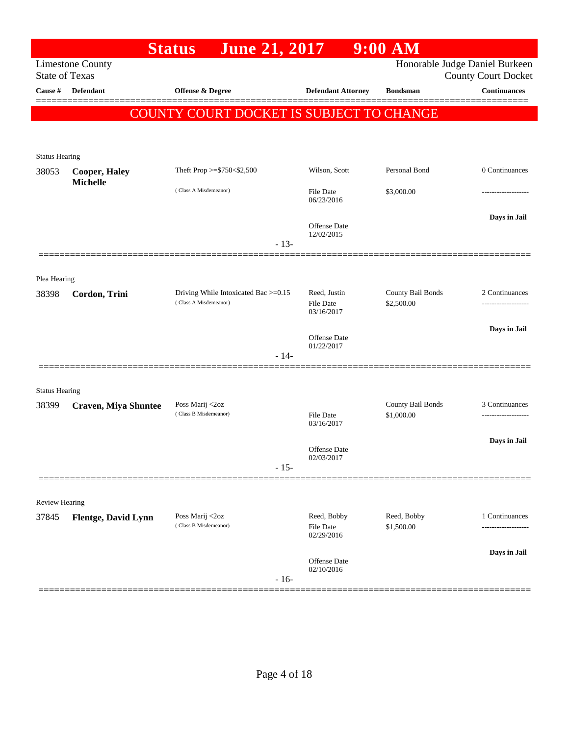|                       |                                                  | <b>Status</b><br><b>June 21, 2017</b>                         |                                        | $9:00$ AM                       |                                                              |
|-----------------------|--------------------------------------------------|---------------------------------------------------------------|----------------------------------------|---------------------------------|--------------------------------------------------------------|
|                       | <b>Limestone County</b><br><b>State of Texas</b> |                                                               |                                        |                                 | Honorable Judge Daniel Burkeen<br><b>County Court Docket</b> |
| Cause #               | <b>Defendant</b>                                 | Offense & Degree                                              | <b>Defendant Attorney</b>              | <b>Bondsman</b>                 | <b>Continuances</b>                                          |
|                       |                                                  |                                                               |                                        |                                 |                                                              |
|                       |                                                  | COUNTY COURT DOCKET IS SUBJECT TO CHANGE                      |                                        |                                 |                                                              |
|                       |                                                  |                                                               |                                        |                                 |                                                              |
| <b>Status Hearing</b> |                                                  |                                                               |                                        |                                 |                                                              |
| 38053                 | <b>Cooper, Haley</b><br><b>Michelle</b>          | Theft Prop >=\$750<\$2,500                                    | Wilson, Scott                          | Personal Bond                   | 0 Continuances                                               |
|                       |                                                  | (Class A Misdemeanor)                                         | File Date<br>06/23/2016                | \$3,000.00                      | ----------------                                             |
|                       |                                                  |                                                               | Offense Date                           |                                 | Days in Jail                                                 |
|                       |                                                  | $-13-$                                                        | 12/02/2015                             |                                 |                                                              |
| Plea Hearing          |                                                  |                                                               |                                        |                                 |                                                              |
| 38398                 | Cordon, Trini                                    | Driving While Intoxicated Bac >=0.15<br>(Class A Misdemeanor) | Reed, Justin<br><b>File Date</b>       | County Bail Bonds<br>\$2,500.00 | 2 Continuances                                               |
|                       |                                                  |                                                               | 03/16/2017                             |                                 |                                                              |
|                       |                                                  |                                                               | Offense Date                           |                                 | Days in Jail                                                 |
|                       |                                                  | $-14-$                                                        | 01/22/2017                             |                                 |                                                              |
|                       |                                                  |                                                               |                                        |                                 |                                                              |
| <b>Status Hearing</b> |                                                  |                                                               |                                        |                                 |                                                              |
| 38399                 | <b>Craven, Miya Shuntee</b>                      | Poss Marij <2oz<br>(Class B Misdemeanor)                      | <b>File Date</b>                       | County Bail Bonds<br>\$1,000.00 | 3 Continuances                                               |
|                       |                                                  |                                                               | 03/16/2017                             |                                 |                                                              |
|                       |                                                  |                                                               | <b>Offense</b> Date                    |                                 | Days in Jail                                                 |
|                       |                                                  | $-15-$                                                        | 02/03/2017                             |                                 |                                                              |
|                       |                                                  |                                                               |                                        |                                 |                                                              |
| Review Hearing        |                                                  |                                                               |                                        |                                 |                                                              |
| 37845                 | <b>Flentge, David Lynn</b>                       | Poss Marij <2oz<br>(Class B Misdemeanor)                      | Reed, Bobby<br>File Date<br>02/29/2016 | Reed, Bobby<br>\$1,500.00       | 1 Continuances<br>-------------------                        |
|                       |                                                  |                                                               |                                        |                                 | Days in Jail                                                 |
|                       |                                                  | $-16-$                                                        | <b>Offense</b> Date<br>02/10/2016      |                                 |                                                              |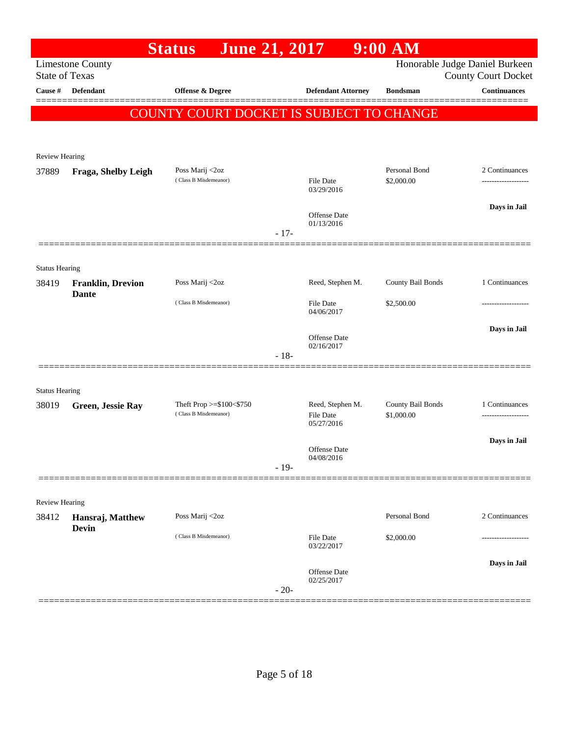|                       |                          | <b>June 21, 2017</b><br><b>Status</b>             |        |                                   | $9:00$ AM                       |                                                   |
|-----------------------|--------------------------|---------------------------------------------------|--------|-----------------------------------|---------------------------------|---------------------------------------------------|
| <b>State of Texas</b> | <b>Limestone County</b>  |                                                   |        |                                   |                                 | Honorable Judge Daniel Burkeen                    |
| Cause #               | <b>Defendant</b>         | Offense & Degree                                  |        | <b>Defendant Attorney</b>         | <b>Bondsman</b>                 | <b>County Court Docket</b><br><b>Continuances</b> |
|                       |                          |                                                   |        |                                   |                                 |                                                   |
|                       |                          | COUNTY COURT DOCKET IS SUBJECT TO CHANGE          |        |                                   |                                 |                                                   |
|                       |                          |                                                   |        |                                   |                                 |                                                   |
| <b>Review Hearing</b> |                          |                                                   |        |                                   |                                 |                                                   |
| 37889                 | Fraga, Shelby Leigh      | Poss Marij <2oz<br>(Class B Misdemeanor)          |        | File Date                         | Personal Bond<br>\$2,000.00     | 2 Continuances<br>-------------------             |
|                       |                          |                                                   |        | 03/29/2016                        |                                 |                                                   |
|                       |                          |                                                   |        | <b>Offense Date</b>               |                                 | Days in Jail                                      |
|                       |                          |                                                   | $-17-$ | 01/13/2016                        |                                 |                                                   |
|                       |                          |                                                   |        |                                   |                                 |                                                   |
| <b>Status Hearing</b> |                          |                                                   |        |                                   |                                 |                                                   |
| 38419                 | <b>Franklin, Drevion</b> | Poss Marij <2oz                                   |        | Reed, Stephen M.                  | County Bail Bonds               | 1 Continuances                                    |
|                       | <b>Dante</b>             | (Class B Misdemeanor)                             |        | File Date                         | \$2,500.00                      |                                                   |
|                       |                          |                                                   |        | 04/06/2017                        |                                 |                                                   |
|                       |                          |                                                   |        | <b>Offense Date</b>               |                                 | Days in Jail                                      |
|                       |                          |                                                   | $-18-$ | 02/16/2017                        |                                 |                                                   |
|                       |                          |                                                   |        |                                   |                                 |                                                   |
| <b>Status Hearing</b> |                          |                                                   |        |                                   |                                 |                                                   |
| 38019                 | Green, Jessie Ray        | Theft Prop >=\$100<\$750<br>(Class B Misdemeanor) |        | Reed, Stephen M.<br>File Date     | County Bail Bonds<br>\$1,000.00 | 1 Continuances                                    |
|                       |                          |                                                   |        | 05/27/2016                        |                                 |                                                   |
|                       |                          |                                                   |        | <b>Offense Date</b>               |                                 | Days in Jail                                      |
|                       |                          |                                                   | $-19-$ | 04/08/2016                        |                                 |                                                   |
|                       |                          |                                                   |        |                                   |                                 |                                                   |
| <b>Review Hearing</b> |                          |                                                   |        |                                   |                                 |                                                   |
| 38412                 | Hansraj, Matthew         | Poss Marij <2oz                                   |        |                                   | Personal Bond                   | 2 Continuances                                    |
|                       | <b>Devin</b>             | (Class B Misdemeanor)                             |        | File Date<br>03/22/2017           | \$2,000.00                      |                                                   |
|                       |                          |                                                   |        |                                   |                                 | Days in Jail                                      |
|                       |                          |                                                   | $-20-$ | <b>Offense</b> Date<br>02/25/2017 |                                 |                                                   |
|                       |                          |                                                   |        |                                   |                                 |                                                   |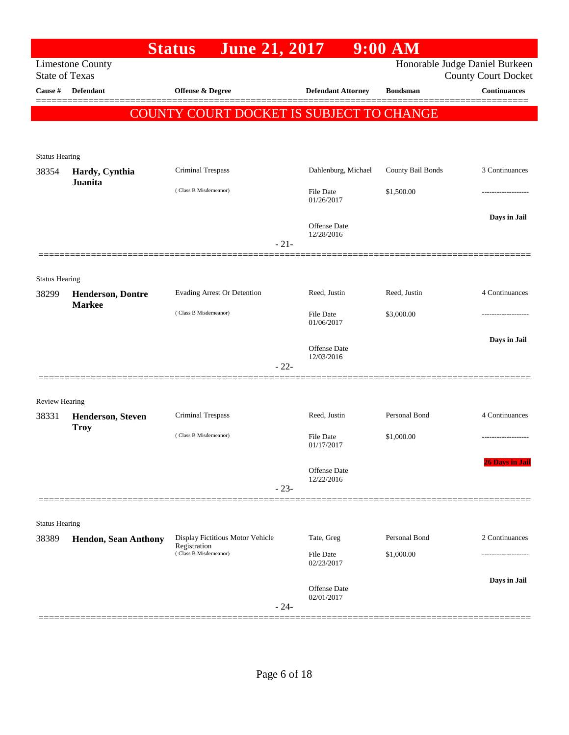|                         |                                           | <b>June 21, 2017</b><br><b>Status</b>            |                            | $9:00$ AM                                    |                                                              |
|-------------------------|-------------------------------------------|--------------------------------------------------|----------------------------|----------------------------------------------|--------------------------------------------------------------|
| <b>State of Texas</b>   | <b>Limestone County</b>                   |                                                  |                            |                                              | Honorable Judge Daniel Burkeen<br><b>County Court Docket</b> |
| Cause #                 | Defendant                                 | Offense & Degree                                 |                            | <b>Defendant Attorney</b><br><b>Bondsman</b> | <b>Continuances</b>                                          |
|                         |                                           | COUNTY COURT DOCKET IS SUBJECT TO CHANGE         |                            |                                              |                                                              |
|                         |                                           |                                                  |                            |                                              |                                                              |
| <b>Status Hearing</b>   |                                           |                                                  |                            |                                              |                                                              |
| 38354                   | Hardy, Cynthia<br>Juanita                 | Criminal Trespass                                |                            | County Bail Bonds<br>Dahlenburg, Michael     | 3 Continuances                                               |
|                         |                                           | (Class B Misdemeanor)                            | File Date<br>01/26/2017    | \$1,500.00                                   |                                                              |
|                         |                                           |                                                  | Offense Date<br>12/28/2016 |                                              | Days in Jail                                                 |
|                         |                                           |                                                  | $-21-$                     |                                              |                                                              |
| <b>Status Hearing</b>   |                                           |                                                  |                            |                                              |                                                              |
| 38299                   | <b>Henderson, Dontre</b><br><b>Markee</b> | Evading Arrest Or Detention                      | Reed, Justin               | Reed, Justin                                 | 4 Continuances                                               |
|                         |                                           | (Class B Misdemeanor)                            | File Date<br>01/06/2017    | \$3,000.00                                   |                                                              |
|                         |                                           |                                                  | Offense Date               |                                              | Days in Jail                                                 |
|                         |                                           |                                                  | 12/03/2016<br>$-22-$       |                                              |                                                              |
|                         |                                           |                                                  |                            |                                              |                                                              |
| Review Hearing<br>38331 | <b>Henderson, Steven</b>                  | Criminal Trespass                                | Reed, Justin               | Personal Bond                                | 4 Continuances                                               |
|                         | <b>Troy</b>                               | (Class B Misdemeanor)                            | File Date<br>01/17/2017    | \$1,000.00                                   |                                                              |
|                         |                                           |                                                  | Offense Date<br>12/22/2016 |                                              | 26 Days in Jail                                              |
|                         |                                           |                                                  | $-23-$                     |                                              |                                                              |
| <b>Status Hearing</b>   |                                           |                                                  |                            |                                              |                                                              |
| 38389                   | <b>Hendon, Sean Anthony</b>               | Display Fictitious Motor Vehicle<br>Registration | Tate, Greg                 | Personal Bond                                | 2 Continuances                                               |
|                         |                                           | (Class B Misdemeanor)                            | File Date<br>02/23/2017    | \$1,000.00                                   |                                                              |
|                         |                                           |                                                  | Offense Date<br>02/01/2017 |                                              | Days in Jail                                                 |
|                         |                                           |                                                  | $-24-$                     |                                              |                                                              |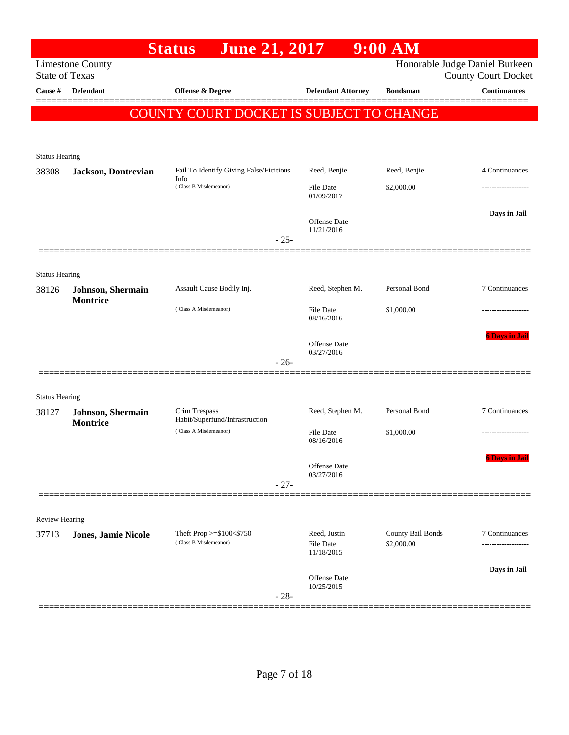|                                                   | $9:00$ AM                       |                                   | <b>June 21, 2017</b><br><b>Status</b>             |                           |                                                |
|---------------------------------------------------|---------------------------------|-----------------------------------|---------------------------------------------------|---------------------------|------------------------------------------------|
| Honorable Judge Daniel Burkeen                    |                                 |                                   |                                                   | <b>Limestone County</b>   | <b>State of Texas</b>                          |
| <b>County Court Docket</b><br><b>Continuances</b> | <b>Bondsman</b>                 | <b>Defendant Attorney</b>         | Offense & Degree                                  | <b>Defendant</b>          | Cause #                                        |
|                                                   |                                 |                                   |                                                   |                           |                                                |
|                                                   |                                 |                                   | <b>COUNTY COURT DOCKET IS SUBJECT TO CHANGE</b>   |                           |                                                |
|                                                   |                                 |                                   |                                                   |                           |                                                |
|                                                   |                                 |                                   |                                                   |                           | <b>Status Hearing</b>                          |
| 4 Continuances                                    | Reed, Benjie                    | Reed, Benjie                      | Fail To Identify Giving False/Ficitious           | Jackson, Dontrevian       | 38308                                          |
|                                                   | \$2,000.00                      | <b>File Date</b><br>01/09/2017    | Info<br>(Class B Misdemeanor)                     |                           |                                                |
| Days in Jail                                      |                                 | <b>Offense</b> Date<br>11/21/2016 |                                                   |                           |                                                |
|                                                   |                                 |                                   | $-25-$                                            |                           |                                                |
|                                                   |                                 |                                   |                                                   |                           |                                                |
| 7 Continuances                                    | Personal Bond                   | Reed, Stephen M.                  | Assault Cause Bodily Inj.                         | <b>Johnson</b> , Shermain | <b>Status Hearing</b><br>38126                 |
|                                                   | \$1,000.00                      | File Date<br>08/16/2016           | (Class A Misdemeanor)                             | <b>Montrice</b>           |                                                |
| <b>6 Days in Jail</b>                             |                                 | Offense Date                      |                                                   |                           |                                                |
|                                                   |                                 |                                   | $-26-$                                            |                           |                                                |
|                                                   |                                 |                                   |                                                   |                           |                                                |
| 7 Continuances                                    | Personal Bond                   | Reed, Stephen M.                  | Crim Trespass<br>Habit/Superfund/Infrastruction   | Johnson, Shermain         | 38127                                          |
|                                                   | \$1,000.00                      | <b>File Date</b><br>08/16/2016    | (Class A Misdemeanor)                             |                           |                                                |
| 6 Days in Jail                                    |                                 | Offense Date<br>03/27/2016        |                                                   |                           |                                                |
|                                                   |                                 |                                   |                                                   |                           |                                                |
|                                                   |                                 |                                   |                                                   |                           |                                                |
| 7 Continuances                                    | County Bail Bonds<br>\$2,000.00 | Reed, Justin<br><b>File Date</b>  | Theft Prop >=\$100<\$750<br>(Class B Misdemeanor) | Jones, Jamie Nicole       | 37713                                          |
|                                                   |                                 |                                   |                                                   |                           |                                                |
| Days in Jail                                      |                                 | Offense Date<br>10/25/2015        | $-28-$                                            |                           |                                                |
|                                                   |                                 | 03/27/2016<br>11/18/2015          | $-27-$                                            | <b>Montrice</b>           | <b>Status Hearing</b><br><b>Review Hearing</b> |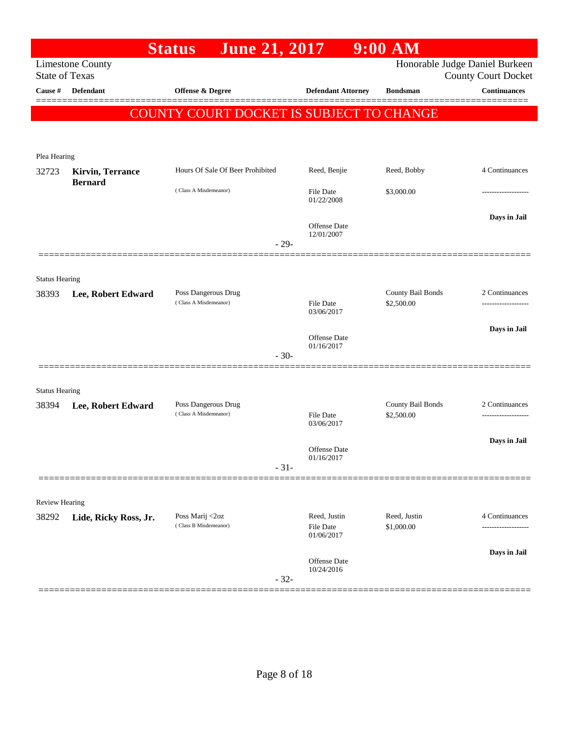|                                |                                           | <b>June 21, 2017</b><br><b>Status</b>        |                                   | $9:00$ AM                       |                                                              |
|--------------------------------|-------------------------------------------|----------------------------------------------|-----------------------------------|---------------------------------|--------------------------------------------------------------|
| <b>State of Texas</b>          | <b>Limestone County</b>                   |                                              |                                   |                                 | Honorable Judge Daniel Burkeen<br><b>County Court Docket</b> |
| Cause #                        | <b>Defendant</b>                          | Offense & Degree                             | <b>Defendant Attorney</b>         | <b>Bondsman</b>                 | <b>Continuances</b>                                          |
|                                |                                           |                                              |                                   |                                 |                                                              |
|                                |                                           | COUNTY COURT DOCKET IS SUBJECT TO CHANGE     |                                   |                                 |                                                              |
|                                |                                           |                                              |                                   |                                 |                                                              |
| Plea Hearing                   |                                           |                                              |                                   |                                 |                                                              |
| 32723                          | <b>Kirvin, Terrance</b><br><b>Bernard</b> | Hours Of Sale Of Beer Prohibited             | Reed, Benjie                      | Reed, Bobby                     | 4 Continuances                                               |
|                                |                                           | (Class A Misdemeanor)                        | <b>File Date</b><br>01/22/2008    | \$3,000.00                      |                                                              |
|                                |                                           |                                              | Offense Date                      |                                 | Days in Jail                                                 |
|                                |                                           | $-29-$                                       | 12/01/2007                        |                                 |                                                              |
|                                | =============                             |                                              |                                   |                                 |                                                              |
|                                |                                           |                                              |                                   |                                 |                                                              |
| <b>Status Hearing</b><br>38393 | Lee, Robert Edward                        | Poss Dangerous Drug                          |                                   | County Bail Bonds               | 2 Continuances                                               |
|                                |                                           | (Class A Misdemeanor)                        | <b>File Date</b><br>03/06/2017    | \$2,500.00                      |                                                              |
|                                |                                           |                                              |                                   |                                 |                                                              |
|                                |                                           |                                              | <b>Offense Date</b><br>01/16/2017 |                                 | Days in Jail                                                 |
|                                |                                           | $-30-$                                       |                                   |                                 |                                                              |
|                                |                                           |                                              |                                   |                                 |                                                              |
| <b>Status Hearing</b>          |                                           |                                              |                                   |                                 |                                                              |
| 38394                          | Lee, Robert Edward                        | Poss Dangerous Drug<br>(Class A Misdemeanor) |                                   | County Bail Bonds<br>\$2,500.00 | 2 Continuances                                               |
|                                |                                           |                                              | <b>File Date</b><br>03/06/2017    |                                 | .                                                            |
|                                |                                           |                                              |                                   |                                 | Days in Jail                                                 |
|                                |                                           |                                              | Offense Date<br>01/16/2017        |                                 |                                                              |
|                                |                                           | $-31-$                                       |                                   |                                 |                                                              |
|                                |                                           |                                              |                                   |                                 |                                                              |
| <b>Review Hearing</b>          |                                           | Poss Marij <2oz                              | Reed, Justin                      | Reed, Justin                    | 4 Continuances                                               |
| 38292                          | Lide, Ricky Ross, Jr.                     | (Class B Misdemeanor)                        | <b>File Date</b><br>01/06/2017    | \$1,000.00                      |                                                              |
|                                |                                           |                                              | Offense Date                      |                                 | Days in Jail                                                 |
|                                |                                           | $-32-$                                       | 10/24/2016                        |                                 |                                                              |
|                                |                                           |                                              |                                   |                                 |                                                              |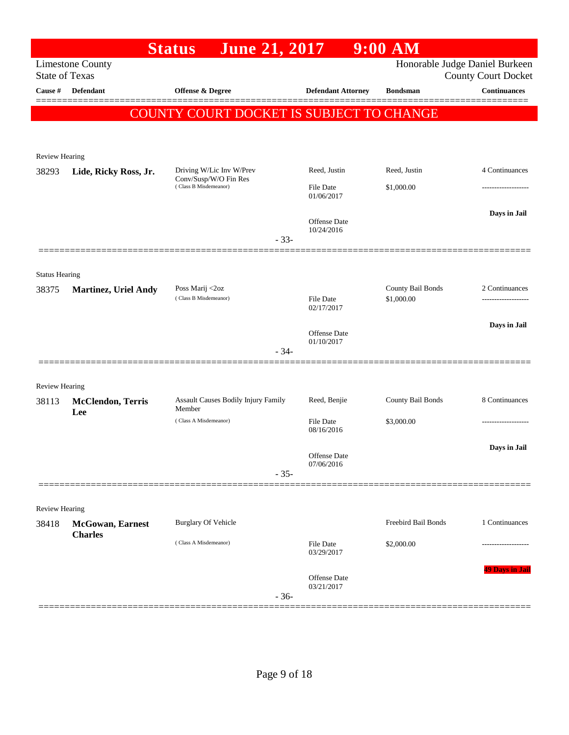|                                |                                            | June 21, 2017<br><b>Status</b>                 |        |                                | $9:00$ AM                       |                                                              |
|--------------------------------|--------------------------------------------|------------------------------------------------|--------|--------------------------------|---------------------------------|--------------------------------------------------------------|
| <b>State of Texas</b>          | <b>Limestone County</b>                    |                                                |        |                                |                                 | Honorable Judge Daniel Burkeen<br><b>County Court Docket</b> |
| Cause #                        | <b>Defendant</b>                           | Offense & Degree                               |        | <b>Defendant Attorney</b>      | <b>Bondsman</b>                 | <b>Continuances</b>                                          |
|                                |                                            | COUNTY COURT DOCKET IS SUBJECT TO CHANGE       |        |                                |                                 |                                                              |
|                                |                                            |                                                |        |                                |                                 |                                                              |
|                                |                                            |                                                |        |                                |                                 |                                                              |
| Review Hearing<br>38293        | Lide, Ricky Ross, Jr.                      | Driving W/Lic Inv W/Prev                       |        | Reed, Justin                   | Reed, Justin                    | 4 Continuances                                               |
|                                |                                            | Conv/Susp/W/O Fin Res<br>(Class B Misdemeanor) |        | <b>File Date</b><br>01/06/2017 | \$1,000.00                      |                                                              |
|                                |                                            |                                                | $-33-$ | Offense Date<br>10/24/2016     |                                 | Days in Jail                                                 |
|                                |                                            |                                                |        |                                |                                 |                                                              |
| <b>Status Hearing</b><br>38375 | <b>Martinez, Uriel Andy</b>                | Poss Marij <2oz<br>(Class B Misdemeanor)       |        | <b>File Date</b>               | County Bail Bonds<br>\$1,000.00 | 2 Continuances                                               |
|                                |                                            |                                                |        | 02/17/2017                     |                                 |                                                              |
|                                |                                            |                                                | $-34-$ | Offense Date<br>01/10/2017     |                                 | Days in Jail                                                 |
|                                |                                            |                                                |        |                                |                                 |                                                              |
| Review Hearing                 |                                            |                                                |        |                                |                                 |                                                              |
| 38113                          | <b>McClendon</b> , Terris<br>Lee           | Assault Causes Bodily Injury Family<br>Member  |        | Reed, Benjie                   | County Bail Bonds               | 8 Continuances                                               |
|                                |                                            | (Class A Misdemeanor)                          |        | <b>File Date</b><br>08/16/2016 | \$3,000.00                      |                                                              |
|                                |                                            |                                                | $-35-$ | Offense Date<br>07/06/2016     |                                 | Days in Jail                                                 |
|                                |                                            |                                                |        |                                |                                 |                                                              |
| Review Hearing                 |                                            |                                                |        |                                |                                 |                                                              |
| 38418                          | <b>McGowan</b> , Earnest<br><b>Charles</b> | <b>Burglary Of Vehicle</b>                     |        |                                | Freebird Bail Bonds             | 1 Continuances                                               |
|                                |                                            | (Class A Misdemeanor)                          |        | <b>File Date</b><br>03/29/2017 | \$2,000.00                      |                                                              |
|                                |                                            |                                                | $-36-$ | Offense Date<br>03/21/2017     |                                 | 49 Days in Jail                                              |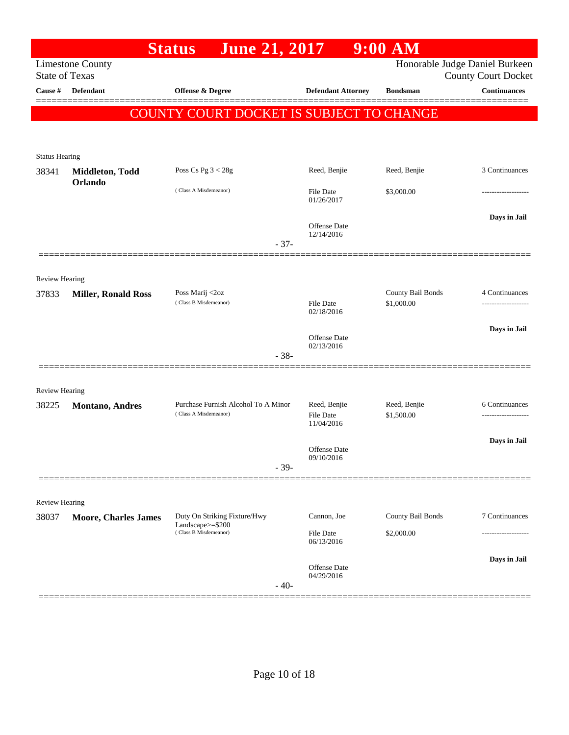|                       |                             | <b>June 21, 2017</b><br><b>Status</b>            |                                   | $9:00$ AM                  |                                                              |
|-----------------------|-----------------------------|--------------------------------------------------|-----------------------------------|----------------------------|--------------------------------------------------------------|
| <b>State of Texas</b> | <b>Limestone County</b>     |                                                  |                                   |                            | Honorable Judge Daniel Burkeen<br><b>County Court Docket</b> |
| Cause #               | Defendant                   | Offense & Degree                                 | <b>Defendant Attorney</b>         | <b>Bondsman</b>            | <b>Continuances</b>                                          |
|                       |                             | COUNTY COURT DOCKET IS SUBJECT TO CHANGE         |                                   |                            |                                                              |
|                       |                             |                                                  |                                   |                            |                                                              |
| <b>Status Hearing</b> |                             |                                                  |                                   |                            |                                                              |
| 38341                 | Middleton, Todd             | Poss Cs Pg $3 < 28g$                             | Reed, Benjie                      | Reed, Benjie               | 3 Continuances                                               |
|                       | Orlando                     | (Class A Misdemeanor)                            | <b>File Date</b><br>01/26/2017    | \$3,000.00                 |                                                              |
|                       |                             | $-37-$                                           | Offense Date<br>12/14/2016        |                            | Days in Jail                                                 |
|                       |                             |                                                  |                                   |                            |                                                              |
| <b>Review Hearing</b> |                             |                                                  |                                   |                            |                                                              |
| 37833                 | <b>Miller, Ronald Ross</b>  | Poss Marij <2oz                                  |                                   | County Bail Bonds          | 4 Continuances                                               |
|                       |                             | (Class B Misdemeanor)                            | File Date<br>02/18/2016           | \$1,000.00                 |                                                              |
|                       |                             |                                                  | Offense Date<br>02/13/2016        |                            | Days in Jail                                                 |
|                       |                             | $-38-$                                           |                                   |                            |                                                              |
|                       |                             |                                                  |                                   |                            |                                                              |
| Review Hearing        |                             | Purchase Furnish Alcohol To A Minor              | Reed, Benjie                      |                            | 6 Continuances                                               |
| 38225                 | <b>Montano</b> , Andres     | (Class A Misdemeanor)                            | <b>File Date</b><br>11/04/2016    | Reed, Benjie<br>\$1,500.00 | ----------------                                             |
|                       |                             | $-39-$                                           | <b>Offense Date</b><br>09/10/2016 |                            | Days in Jail                                                 |
|                       |                             |                                                  |                                   |                            |                                                              |
| Review Hearing        |                             |                                                  |                                   |                            |                                                              |
| 38037                 | <b>Moore, Charles James</b> | Duty On Striking Fixture/Hwy<br>Landscape>=\$200 | Cannon, Joe                       | County Bail Bonds          | 7 Continuances                                               |
|                       |                             | (Class B Misdemeanor)                            | File Date<br>06/13/2016           | \$2,000.00                 |                                                              |
|                       |                             | $-40-$                                           | <b>Offense Date</b><br>04/29/2016 |                            | Days in Jail                                                 |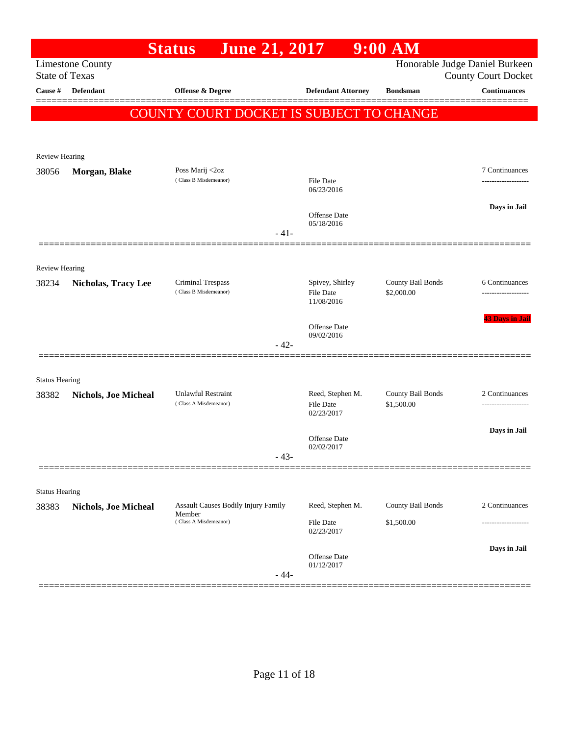| Honorable Judge Daniel Burkeen<br><b>Limestone County</b><br><b>State of Texas</b><br><b>County Court Docket</b><br><b>Continuances</b><br>Defendant<br>Offense & Degree<br><b>Defendant Attorney</b><br><b>Bondsman</b><br>Cause #<br>COUNTY COURT DOCKET IS SUBJECT TO CHANGE<br>Review Hearing<br>Poss Marij <2oz<br>7 Continuances<br>38056<br>Morgan, Blake<br>(Class B Misdemeanor)<br>File Date<br>-------------------<br>06/23/2016<br>Days in Jail<br><b>Offense Date</b><br>05/18/2016<br>$-41-$<br><b>Review Hearing</b><br>Spivey, Shirley<br>County Bail Bonds<br>Criminal Trespass<br>6 Continuances<br>38234<br><b>Nicholas, Tracy Lee</b><br>(Class B Misdemeanor)<br><b>File Date</b><br>\$2,000.00<br>11/08/2016<br><b>Offense</b> Date<br>09/02/2016<br>$-42-$<br><b>Status Hearing</b><br><b>Unlawful Restraint</b><br>County Bail Bonds<br>Reed, Stephen M.<br>2 Continuances<br>38382<br><b>Nichols, Joe Micheal</b><br>(Class A Misdemeanor)<br><b>File Date</b><br>\$1,500.00<br>02/23/2017<br>Days in Jail<br>Offense Date<br>02/02/2017<br>$-43-$<br><b>Status Hearing</b><br><b>Assault Causes Bodily Injury Family</b><br>County Bail Bonds<br>2 Continuances<br>Reed, Stephen M.<br>38383<br>Nichols, Joe Micheal<br>Member<br>(Class A Misdemeanor)<br>\$1,500.00<br>File Date<br>02/23/2017<br>Days in Jail<br>Offense Date<br>01/12/2017<br>$-44-$ |  | <b>June 21, 2017</b><br><b>Status</b> |  | $9:00$ AM |                        |
|------------------------------------------------------------------------------------------------------------------------------------------------------------------------------------------------------------------------------------------------------------------------------------------------------------------------------------------------------------------------------------------------------------------------------------------------------------------------------------------------------------------------------------------------------------------------------------------------------------------------------------------------------------------------------------------------------------------------------------------------------------------------------------------------------------------------------------------------------------------------------------------------------------------------------------------------------------------------------------------------------------------------------------------------------------------------------------------------------------------------------------------------------------------------------------------------------------------------------------------------------------------------------------------------------------------------------------------------------------------------------------|--|---------------------------------------|--|-----------|------------------------|
|                                                                                                                                                                                                                                                                                                                                                                                                                                                                                                                                                                                                                                                                                                                                                                                                                                                                                                                                                                                                                                                                                                                                                                                                                                                                                                                                                                                    |  |                                       |  |           |                        |
|                                                                                                                                                                                                                                                                                                                                                                                                                                                                                                                                                                                                                                                                                                                                                                                                                                                                                                                                                                                                                                                                                                                                                                                                                                                                                                                                                                                    |  |                                       |  |           |                        |
|                                                                                                                                                                                                                                                                                                                                                                                                                                                                                                                                                                                                                                                                                                                                                                                                                                                                                                                                                                                                                                                                                                                                                                                                                                                                                                                                                                                    |  |                                       |  |           |                        |
|                                                                                                                                                                                                                                                                                                                                                                                                                                                                                                                                                                                                                                                                                                                                                                                                                                                                                                                                                                                                                                                                                                                                                                                                                                                                                                                                                                                    |  |                                       |  |           |                        |
|                                                                                                                                                                                                                                                                                                                                                                                                                                                                                                                                                                                                                                                                                                                                                                                                                                                                                                                                                                                                                                                                                                                                                                                                                                                                                                                                                                                    |  |                                       |  |           |                        |
|                                                                                                                                                                                                                                                                                                                                                                                                                                                                                                                                                                                                                                                                                                                                                                                                                                                                                                                                                                                                                                                                                                                                                                                                                                                                                                                                                                                    |  |                                       |  |           |                        |
|                                                                                                                                                                                                                                                                                                                                                                                                                                                                                                                                                                                                                                                                                                                                                                                                                                                                                                                                                                                                                                                                                                                                                                                                                                                                                                                                                                                    |  |                                       |  |           |                        |
|                                                                                                                                                                                                                                                                                                                                                                                                                                                                                                                                                                                                                                                                                                                                                                                                                                                                                                                                                                                                                                                                                                                                                                                                                                                                                                                                                                                    |  |                                       |  |           |                        |
|                                                                                                                                                                                                                                                                                                                                                                                                                                                                                                                                                                                                                                                                                                                                                                                                                                                                                                                                                                                                                                                                                                                                                                                                                                                                                                                                                                                    |  |                                       |  |           |                        |
|                                                                                                                                                                                                                                                                                                                                                                                                                                                                                                                                                                                                                                                                                                                                                                                                                                                                                                                                                                                                                                                                                                                                                                                                                                                                                                                                                                                    |  |                                       |  |           |                        |
|                                                                                                                                                                                                                                                                                                                                                                                                                                                                                                                                                                                                                                                                                                                                                                                                                                                                                                                                                                                                                                                                                                                                                                                                                                                                                                                                                                                    |  |                                       |  |           |                        |
|                                                                                                                                                                                                                                                                                                                                                                                                                                                                                                                                                                                                                                                                                                                                                                                                                                                                                                                                                                                                                                                                                                                                                                                                                                                                                                                                                                                    |  |                                       |  |           |                        |
|                                                                                                                                                                                                                                                                                                                                                                                                                                                                                                                                                                                                                                                                                                                                                                                                                                                                                                                                                                                                                                                                                                                                                                                                                                                                                                                                                                                    |  |                                       |  |           |                        |
|                                                                                                                                                                                                                                                                                                                                                                                                                                                                                                                                                                                                                                                                                                                                                                                                                                                                                                                                                                                                                                                                                                                                                                                                                                                                                                                                                                                    |  |                                       |  |           |                        |
|                                                                                                                                                                                                                                                                                                                                                                                                                                                                                                                                                                                                                                                                                                                                                                                                                                                                                                                                                                                                                                                                                                                                                                                                                                                                                                                                                                                    |  |                                       |  |           |                        |
|                                                                                                                                                                                                                                                                                                                                                                                                                                                                                                                                                                                                                                                                                                                                                                                                                                                                                                                                                                                                                                                                                                                                                                                                                                                                                                                                                                                    |  |                                       |  |           | <b>43 Days in Jail</b> |
|                                                                                                                                                                                                                                                                                                                                                                                                                                                                                                                                                                                                                                                                                                                                                                                                                                                                                                                                                                                                                                                                                                                                                                                                                                                                                                                                                                                    |  |                                       |  |           |                        |
|                                                                                                                                                                                                                                                                                                                                                                                                                                                                                                                                                                                                                                                                                                                                                                                                                                                                                                                                                                                                                                                                                                                                                                                                                                                                                                                                                                                    |  |                                       |  |           |                        |
|                                                                                                                                                                                                                                                                                                                                                                                                                                                                                                                                                                                                                                                                                                                                                                                                                                                                                                                                                                                                                                                                                                                                                                                                                                                                                                                                                                                    |  |                                       |  |           |                        |
|                                                                                                                                                                                                                                                                                                                                                                                                                                                                                                                                                                                                                                                                                                                                                                                                                                                                                                                                                                                                                                                                                                                                                                                                                                                                                                                                                                                    |  |                                       |  |           |                        |
|                                                                                                                                                                                                                                                                                                                                                                                                                                                                                                                                                                                                                                                                                                                                                                                                                                                                                                                                                                                                                                                                                                                                                                                                                                                                                                                                                                                    |  |                                       |  |           |                        |
|                                                                                                                                                                                                                                                                                                                                                                                                                                                                                                                                                                                                                                                                                                                                                                                                                                                                                                                                                                                                                                                                                                                                                                                                                                                                                                                                                                                    |  |                                       |  |           |                        |
|                                                                                                                                                                                                                                                                                                                                                                                                                                                                                                                                                                                                                                                                                                                                                                                                                                                                                                                                                                                                                                                                                                                                                                                                                                                                                                                                                                                    |  |                                       |  |           |                        |
|                                                                                                                                                                                                                                                                                                                                                                                                                                                                                                                                                                                                                                                                                                                                                                                                                                                                                                                                                                                                                                                                                                                                                                                                                                                                                                                                                                                    |  |                                       |  |           |                        |
|                                                                                                                                                                                                                                                                                                                                                                                                                                                                                                                                                                                                                                                                                                                                                                                                                                                                                                                                                                                                                                                                                                                                                                                                                                                                                                                                                                                    |  |                                       |  |           |                        |
|                                                                                                                                                                                                                                                                                                                                                                                                                                                                                                                                                                                                                                                                                                                                                                                                                                                                                                                                                                                                                                                                                                                                                                                                                                                                                                                                                                                    |  |                                       |  |           |                        |
|                                                                                                                                                                                                                                                                                                                                                                                                                                                                                                                                                                                                                                                                                                                                                                                                                                                                                                                                                                                                                                                                                                                                                                                                                                                                                                                                                                                    |  |                                       |  |           |                        |
|                                                                                                                                                                                                                                                                                                                                                                                                                                                                                                                                                                                                                                                                                                                                                                                                                                                                                                                                                                                                                                                                                                                                                                                                                                                                                                                                                                                    |  |                                       |  |           |                        |
|                                                                                                                                                                                                                                                                                                                                                                                                                                                                                                                                                                                                                                                                                                                                                                                                                                                                                                                                                                                                                                                                                                                                                                                                                                                                                                                                                                                    |  |                                       |  |           |                        |
|                                                                                                                                                                                                                                                                                                                                                                                                                                                                                                                                                                                                                                                                                                                                                                                                                                                                                                                                                                                                                                                                                                                                                                                                                                                                                                                                                                                    |  |                                       |  |           |                        |
|                                                                                                                                                                                                                                                                                                                                                                                                                                                                                                                                                                                                                                                                                                                                                                                                                                                                                                                                                                                                                                                                                                                                                                                                                                                                                                                                                                                    |  |                                       |  |           |                        |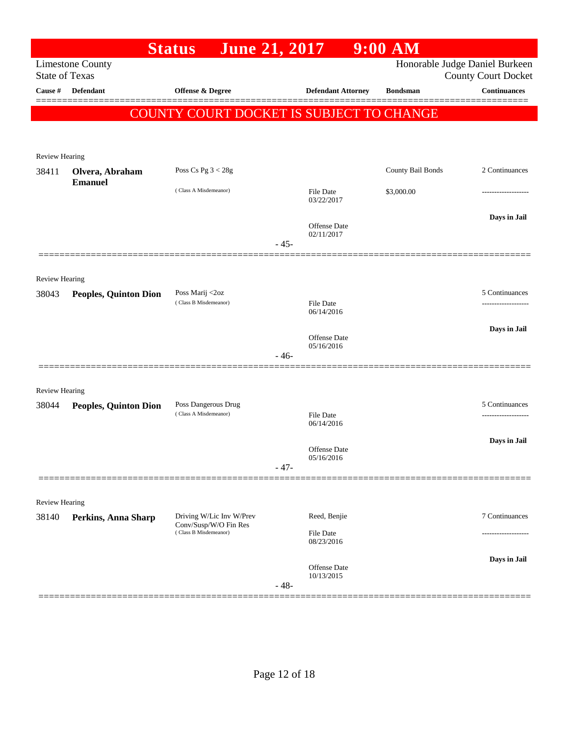|                       |                              | <b>June 21, 2017</b><br><b>Status</b>             |        |                                | $9:00$ AM         |                                                              |
|-----------------------|------------------------------|---------------------------------------------------|--------|--------------------------------|-------------------|--------------------------------------------------------------|
| <b>State of Texas</b> | <b>Limestone County</b>      |                                                   |        |                                |                   | Honorable Judge Daniel Burkeen<br><b>County Court Docket</b> |
| Cause #               | <b>Defendant</b>             | Offense & Degree                                  |        | <b>Defendant Attorney</b>      | <b>Bondsman</b>   | <b>Continuances</b>                                          |
|                       |                              | COUNTY COURT DOCKET IS SUBJECT TO CHANGE          |        |                                |                   |                                                              |
|                       |                              |                                                   |        |                                |                   |                                                              |
| <b>Review Hearing</b> |                              |                                                   |        |                                |                   |                                                              |
| 38411                 | Olvera, Abraham              | Poss Cs Pg $3 < 28g$                              |        |                                | County Bail Bonds | 2 Continuances                                               |
|                       | <b>Emanuel</b>               | (Class A Misdemeanor)                             |        | <b>File Date</b><br>03/22/2017 | \$3,000.00        | .                                                            |
|                       |                              |                                                   | $-45-$ | Offense Date<br>02/11/2017     |                   | Days in Jail                                                 |
|                       |                              |                                                   |        |                                |                   |                                                              |
| Review Hearing        |                              |                                                   |        |                                |                   |                                                              |
| 38043                 | <b>Peoples, Quinton Dion</b> | Poss Marij <2oz<br>(Class B Misdemeanor)          |        | <b>File Date</b>               |                   | 5 Continuances                                               |
|                       |                              |                                                   |        | 06/14/2016                     |                   |                                                              |
|                       |                              |                                                   |        | Offense Date                   |                   | Days in Jail                                                 |
|                       |                              |                                                   | $-46-$ | 05/16/2016                     |                   |                                                              |
| Review Hearing        |                              |                                                   |        |                                |                   |                                                              |
| 38044                 | <b>Peoples, Quinton Dion</b> | Poss Dangerous Drug<br>(Class A Misdemeanor)      |        | <b>File Date</b>               |                   | 5 Continuances                                               |
|                       |                              |                                                   |        | 06/14/2016                     |                   |                                                              |
|                       |                              |                                                   |        | <b>Offense Date</b>            |                   | Days in Jail                                                 |
|                       |                              |                                                   | $-47-$ | 05/16/2016                     |                   |                                                              |
|                       |                              |                                                   |        |                                |                   |                                                              |
| <b>Review Hearing</b> |                              |                                                   |        |                                |                   |                                                              |
| 38140                 | Perkins, Anna Sharp          | Driving W/Lic Inv W/Prev<br>Conv/Susp/W/O Fin Res |        | Reed, Benjie                   |                   | 7 Continuances                                               |
|                       |                              | (Class B Misdemeanor)                             |        | File Date<br>08/23/2016        |                   |                                                              |
|                       |                              |                                                   |        |                                |                   | Days in Jail                                                 |
|                       |                              |                                                   | $-48-$ | Offense Date<br>10/13/2015     |                   |                                                              |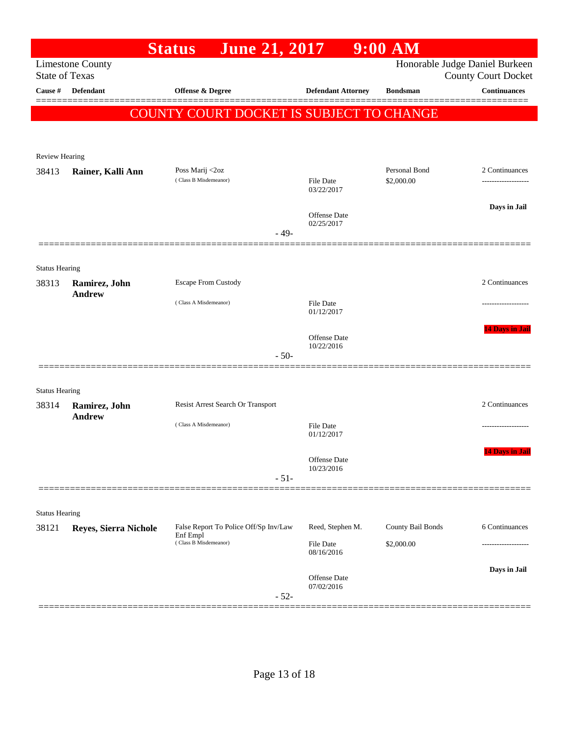|                                                  | <b>Status</b>                                                         |                                                                                                             | 9:00 AM                                                                                               |                                                                                                                                                                                                                                                                                                                                                              |
|--------------------------------------------------|-----------------------------------------------------------------------|-------------------------------------------------------------------------------------------------------------|-------------------------------------------------------------------------------------------------------|--------------------------------------------------------------------------------------------------------------------------------------------------------------------------------------------------------------------------------------------------------------------------------------------------------------------------------------------------------------|
| <b>Limestone County</b><br><b>State of Texas</b> |                                                                       |                                                                                                             |                                                                                                       | Honorable Judge Daniel Burkeen<br><b>County Court Docket</b>                                                                                                                                                                                                                                                                                                 |
| Defendant                                        | Offense & Degree                                                      |                                                                                                             | <b>Bondsman</b>                                                                                       | <b>Continuances</b>                                                                                                                                                                                                                                                                                                                                          |
|                                                  |                                                                       |                                                                                                             |                                                                                                       |                                                                                                                                                                                                                                                                                                                                                              |
|                                                  |                                                                       |                                                                                                             |                                                                                                       |                                                                                                                                                                                                                                                                                                                                                              |
|                                                  |                                                                       |                                                                                                             |                                                                                                       |                                                                                                                                                                                                                                                                                                                                                              |
|                                                  |                                                                       |                                                                                                             |                                                                                                       | 2 Continuances                                                                                                                                                                                                                                                                                                                                               |
|                                                  | (Class B Misdemeanor)                                                 |                                                                                                             | \$2,000.00                                                                                            |                                                                                                                                                                                                                                                                                                                                                              |
|                                                  |                                                                       |                                                                                                             |                                                                                                       | Days in Jail                                                                                                                                                                                                                                                                                                                                                 |
|                                                  |                                                                       |                                                                                                             |                                                                                                       |                                                                                                                                                                                                                                                                                                                                                              |
|                                                  |                                                                       |                                                                                                             |                                                                                                       |                                                                                                                                                                                                                                                                                                                                                              |
| <b>Status Hearing</b>                            |                                                                       |                                                                                                             |                                                                                                       |                                                                                                                                                                                                                                                                                                                                                              |
| <b>Andrew</b>                                    |                                                                       |                                                                                                             |                                                                                                       | 2 Continuances                                                                                                                                                                                                                                                                                                                                               |
|                                                  | (Class A Misdemeanor)                                                 |                                                                                                             |                                                                                                       |                                                                                                                                                                                                                                                                                                                                                              |
|                                                  |                                                                       |                                                                                                             |                                                                                                       | <b>14 Days in Jail</b>                                                                                                                                                                                                                                                                                                                                       |
|                                                  |                                                                       |                                                                                                             |                                                                                                       |                                                                                                                                                                                                                                                                                                                                                              |
|                                                  |                                                                       |                                                                                                             |                                                                                                       |                                                                                                                                                                                                                                                                                                                                                              |
| <b>Status Hearing</b>                            |                                                                       |                                                                                                             |                                                                                                       |                                                                                                                                                                                                                                                                                                                                                              |
| Ramirez, John                                    |                                                                       |                                                                                                             |                                                                                                       | 2 Continuances                                                                                                                                                                                                                                                                                                                                               |
|                                                  | (Class A Misdemeanor)                                                 |                                                                                                             |                                                                                                       |                                                                                                                                                                                                                                                                                                                                                              |
|                                                  |                                                                       |                                                                                                             |                                                                                                       | <b>14 Days in Jail</b>                                                                                                                                                                                                                                                                                                                                       |
|                                                  |                                                                       |                                                                                                             |                                                                                                       |                                                                                                                                                                                                                                                                                                                                                              |
|                                                  |                                                                       |                                                                                                             |                                                                                                       |                                                                                                                                                                                                                                                                                                                                                              |
| <b>Status Hearing</b>                            |                                                                       |                                                                                                             |                                                                                                       |                                                                                                                                                                                                                                                                                                                                                              |
|                                                  | Enf Empl                                                              |                                                                                                             | County Bail Bonds                                                                                     | 6 Continuances                                                                                                                                                                                                                                                                                                                                               |
|                                                  | (Class B Misdemeanor)                                                 |                                                                                                             | \$2,000.00                                                                                            |                                                                                                                                                                                                                                                                                                                                                              |
|                                                  |                                                                       |                                                                                                             |                                                                                                       | Days in Jail                                                                                                                                                                                                                                                                                                                                                 |
|                                                  |                                                                       |                                                                                                             |                                                                                                       |                                                                                                                                                                                                                                                                                                                                                              |
|                                                  | Review Hearing<br>Rainer, Kalli Ann<br>Ramirez, John<br><b>Andrew</b> | Poss Marij <2oz<br><b>Escape From Custody</b><br>Resist Arrest Search Or Transport<br>Reyes, Sierra Nichole | <b>June 21, 2017</b><br>$-49-$<br>$-50-$<br>$-51-$<br>False Report To Police Off/Sp Inv/Law<br>$-52-$ | <b>Defendant Attorney</b><br><b>COUNTY COURT DOCKET IS SUBJECT TO CHANGE</b><br>Personal Bond<br>File Date<br>03/22/2017<br>Offense Date<br>02/25/2017<br>File Date<br>01/12/2017<br>Offense Date<br>10/22/2016<br><b>File Date</b><br>01/12/2017<br>Offense Date<br>10/23/2016<br>Reed, Stephen M.<br>File Date<br>08/16/2016<br>Offense Date<br>07/02/2016 |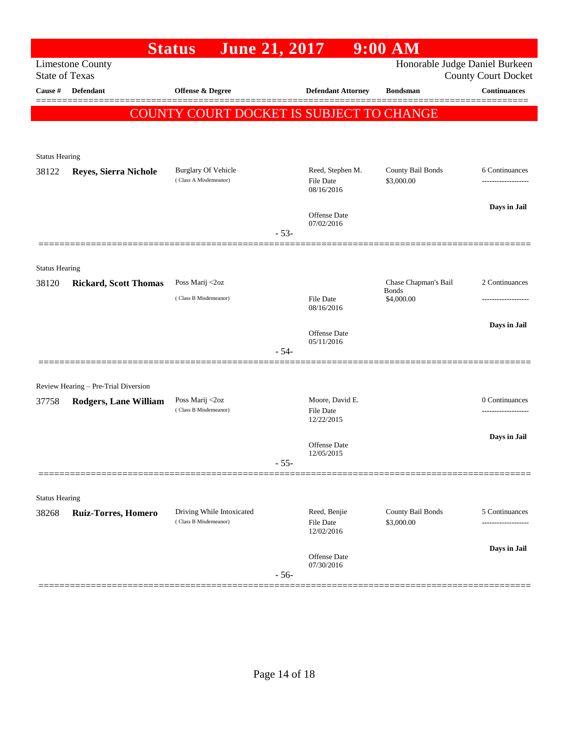|                                                                                                                  |                                      | <b>June 21, 2017</b><br><b>Status</b>           |        |                                     | $9:00$ AM                            |                     |
|------------------------------------------------------------------------------------------------------------------|--------------------------------------|-------------------------------------------------|--------|-------------------------------------|--------------------------------------|---------------------|
| Honorable Judge Daniel Burkeen<br><b>Limestone County</b><br><b>State of Texas</b><br><b>County Court Docket</b> |                                      |                                                 |        |                                     |                                      |                     |
| <b>Cause</b> #                                                                                                   | Defendant                            | Offense & Degree                                |        | <b>Defendant Attorney</b>           | <b>Bondsman</b>                      | <b>Continuances</b> |
|                                                                                                                  |                                      |                                                 |        |                                     |                                      |                     |
|                                                                                                                  |                                      | <b>COUNTY COURT DOCKET IS SUBJECT TO CHANGE</b> |        |                                     |                                      |                     |
|                                                                                                                  |                                      |                                                 |        |                                     |                                      |                     |
| <b>Status Hearing</b>                                                                                            |                                      |                                                 |        |                                     |                                      |                     |
| 38122                                                                                                            | Reyes, Sierra Nichole                | <b>Burglary Of Vehicle</b>                      |        | Reed, Stephen M.                    | County Bail Bonds                    | 6 Continuances      |
|                                                                                                                  |                                      | (Class A Misdemeanor)                           |        | File Date<br>08/16/2016             | \$3,000.00                           | ------------------  |
|                                                                                                                  |                                      |                                                 |        |                                     |                                      | Days in Jail        |
|                                                                                                                  |                                      |                                                 |        | Offense Date<br>07/02/2016          |                                      |                     |
|                                                                                                                  |                                      |                                                 | $-53-$ |                                     |                                      |                     |
|                                                                                                                  |                                      |                                                 |        |                                     |                                      |                     |
| <b>Status Hearing</b>                                                                                            |                                      |                                                 |        |                                     |                                      |                     |
| 38120                                                                                                            | <b>Rickard, Scott Thomas</b>         | Poss Marij <2oz                                 |        |                                     | Chase Chapman's Bail<br><b>Bonds</b> | 2 Continuances      |
|                                                                                                                  |                                      | (Class B Misdemeanor)                           |        | <b>File Date</b><br>08/16/2016      | \$4,000.00                           |                     |
|                                                                                                                  |                                      |                                                 |        |                                     |                                      | Days in Jail        |
|                                                                                                                  |                                      |                                                 |        | Offense Date<br>05/11/2016          |                                      |                     |
|                                                                                                                  |                                      |                                                 | $-54-$ |                                     |                                      |                     |
|                                                                                                                  |                                      |                                                 |        |                                     |                                      |                     |
|                                                                                                                  | Review Hearing - Pre-Trial Diversion |                                                 |        |                                     |                                      |                     |
| 37758                                                                                                            | Rodgers, Lane William                | Poss Marij <2oz<br>(Class B Misdemeanor)        |        | Moore, David E.<br><b>File Date</b> |                                      | 0 Continuances<br>  |
|                                                                                                                  |                                      |                                                 |        | 12/22/2015                          |                                      |                     |
|                                                                                                                  |                                      |                                                 |        | Offense Date                        |                                      | Days in Jail        |
|                                                                                                                  |                                      |                                                 | $-55-$ | 12/05/2015                          |                                      |                     |
|                                                                                                                  |                                      |                                                 |        |                                     |                                      |                     |
|                                                                                                                  |                                      |                                                 |        |                                     |                                      |                     |
| <b>Status Hearing</b><br>38268                                                                                   | <b>Ruiz-Torres, Homero</b>           | Driving While Intoxicated                       |        | Reed, Benjie                        | County Bail Bonds                    | 5 Continuances      |
|                                                                                                                  |                                      | (Class B Misdemeanor)                           |        | <b>File Date</b><br>12/02/2016      | \$3,000.00                           | ------------------  |
|                                                                                                                  |                                      |                                                 |        |                                     |                                      | Days in Jail        |
|                                                                                                                  |                                      |                                                 |        | Offense Date<br>07/30/2016          |                                      |                     |
|                                                                                                                  |                                      |                                                 | $-56-$ |                                     |                                      |                     |
|                                                                                                                  |                                      |                                                 |        |                                     |                                      |                     |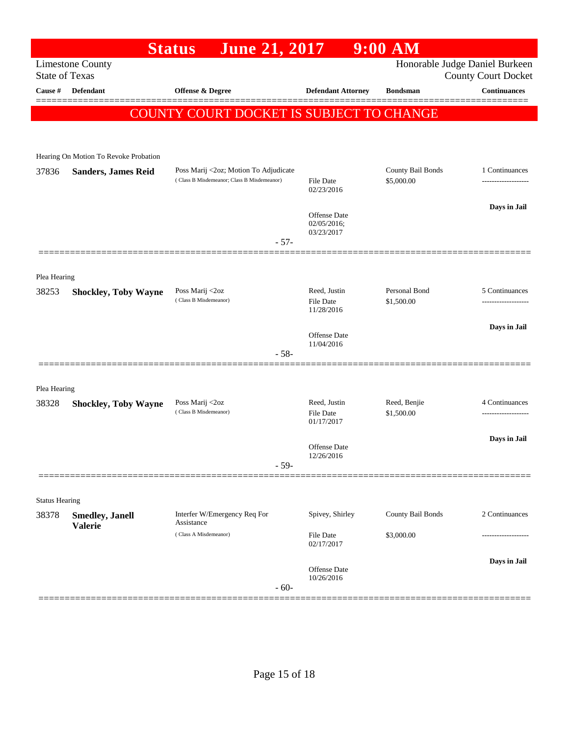|                                                                                                                  |                                       | <b>June 21, 2017</b><br><b>Status</b>      |                                | $9:00$ AM         |                     |  |
|------------------------------------------------------------------------------------------------------------------|---------------------------------------|--------------------------------------------|--------------------------------|-------------------|---------------------|--|
| Honorable Judge Daniel Burkeen<br><b>Limestone County</b><br><b>State of Texas</b><br><b>County Court Docket</b> |                                       |                                            |                                |                   |                     |  |
| Cause #                                                                                                          | <b>Defendant</b>                      | <b>Offense &amp; Degree</b>                | <b>Defendant Attorney</b>      | <b>Bondsman</b>   | <b>Continuances</b> |  |
|                                                                                                                  |                                       | COUNTY COURT DOCKET IS SUBJECT TO CHANGE   |                                |                   |                     |  |
|                                                                                                                  |                                       |                                            |                                |                   |                     |  |
|                                                                                                                  | Hearing On Motion To Revoke Probation |                                            |                                |                   |                     |  |
| 37836                                                                                                            | <b>Sanders, James Reid</b>            | Poss Marij <2oz; Motion To Adjudicate      |                                | County Bail Bonds | 1 Continuances      |  |
|                                                                                                                  |                                       | (Class B Misdemeanor; Class B Misdemeanor) | File Date<br>02/23/2016        | \$5,000.00        |                     |  |
|                                                                                                                  |                                       |                                            | <b>Offense</b> Date            |                   | Days in Jail        |  |
|                                                                                                                  |                                       |                                            | 02/05/2016;<br>03/23/2017      |                   |                     |  |
|                                                                                                                  |                                       | $-57-$                                     |                                |                   |                     |  |
|                                                                                                                  |                                       |                                            |                                |                   |                     |  |
| Plea Hearing<br>38253                                                                                            | <b>Shockley, Toby Wayne</b>           | Poss Marij <2oz                            | Reed, Justin                   | Personal Bond     | 5 Continuances      |  |
|                                                                                                                  |                                       | (Class B Misdemeanor)                      | <b>File Date</b><br>11/28/2016 | \$1,500.00        |                     |  |
|                                                                                                                  |                                       |                                            |                                |                   | Days in Jail        |  |
|                                                                                                                  |                                       |                                            | Offense Date<br>11/04/2016     |                   |                     |  |
|                                                                                                                  |                                       | $-58-$                                     |                                |                   |                     |  |
| Plea Hearing                                                                                                     |                                       |                                            |                                |                   |                     |  |
| 38328                                                                                                            | <b>Shockley, Toby Wayne</b>           | Poss Marij <2oz                            | Reed, Justin                   | Reed, Benjie      | 4 Continuances      |  |
|                                                                                                                  |                                       | (Class B Misdemeanor)                      | File Date<br>01/17/2017        | \$1,500.00        |                     |  |
|                                                                                                                  |                                       |                                            | <b>Offense Date</b>            |                   | Days in Jail        |  |
|                                                                                                                  |                                       | $-59-$                                     | 12/26/2016                     |                   |                     |  |
|                                                                                                                  |                                       |                                            |                                |                   |                     |  |
| <b>Status Hearing</b>                                                                                            |                                       |                                            |                                |                   |                     |  |
| 38378                                                                                                            | <b>Smedley, Janell</b>                | Interfer W/Emergency Req For<br>Assistance | Spivey, Shirley                | County Bail Bonds | 2 Continuances      |  |
|                                                                                                                  | <b>Valerie</b>                        | (Class A Misdemeanor)                      | <b>File Date</b><br>02/17/2017 | \$3,000.00        |                     |  |
|                                                                                                                  |                                       |                                            |                                |                   | Days in Jail        |  |
|                                                                                                                  |                                       |                                            | Offense Date<br>10/26/2016     |                   |                     |  |
|                                                                                                                  |                                       | $-60-$                                     |                                |                   |                     |  |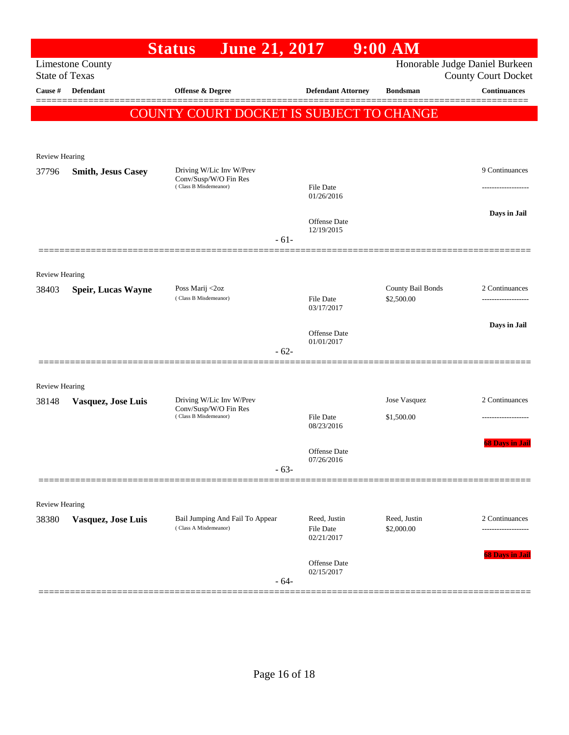|                                |                                                  | <b>June 21, 2017</b><br><b>Status</b>                                      |        |                                   | $9:00$ AM                       |                                                              |
|--------------------------------|--------------------------------------------------|----------------------------------------------------------------------------|--------|-----------------------------------|---------------------------------|--------------------------------------------------------------|
|                                | <b>Limestone County</b><br><b>State of Texas</b> |                                                                            |        |                                   |                                 | Honorable Judge Daniel Burkeen<br><b>County Court Docket</b> |
| Cause #                        | <b>Defendant</b>                                 | Offense & Degree                                                           |        | <b>Defendant Attorney</b>         | <b>Bondsman</b>                 | <b>Continuances</b>                                          |
|                                |                                                  |                                                                            |        |                                   |                                 |                                                              |
|                                |                                                  | COUNTY COURT DOCKET IS SUBJECT TO CHANGE                                   |        |                                   |                                 |                                                              |
|                                |                                                  |                                                                            |        |                                   |                                 |                                                              |
| <b>Review Hearing</b>          |                                                  |                                                                            |        |                                   |                                 |                                                              |
| 37796                          | <b>Smith, Jesus Casey</b>                        | Driving W/Lic Inv W/Prev<br>Conv/Susp/W/O Fin Res                          |        |                                   |                                 | 9 Continuances                                               |
|                                |                                                  | (Class B Misdemeanor)                                                      |        | <b>File Date</b><br>01/26/2016    |                                 |                                                              |
|                                |                                                  |                                                                            |        |                                   |                                 | Days in Jail                                                 |
|                                |                                                  |                                                                            |        | <b>Offense Date</b><br>12/19/2015 |                                 |                                                              |
|                                |                                                  |                                                                            | $-61-$ |                                   |                                 |                                                              |
|                                |                                                  |                                                                            |        |                                   |                                 |                                                              |
| <b>Review Hearing</b><br>38403 | <b>Speir, Lucas Wayne</b>                        | Poss Marij <2oz                                                            |        |                                   | County Bail Bonds<br>\$2,500.00 | 2 Continuances                                               |
|                                |                                                  | (Class B Misdemeanor)                                                      |        | <b>File Date</b><br>03/17/2017    |                                 | -------------------                                          |
|                                |                                                  |                                                                            |        |                                   |                                 | Days in Jail                                                 |
|                                |                                                  |                                                                            |        | <b>Offense Date</b><br>01/01/2017 |                                 |                                                              |
|                                |                                                  |                                                                            | $-62-$ |                                   |                                 |                                                              |
|                                |                                                  |                                                                            |        |                                   |                                 |                                                              |
| <b>Review Hearing</b>          |                                                  |                                                                            |        |                                   |                                 | 2 Continuances                                               |
| 38148                          | Vasquez, Jose Luis                               | Driving W/Lic Inv W/Prev<br>Conv/Susp/W/O Fin Res<br>(Class B Misdemeanor) |        | <b>File Date</b>                  | Jose Vasquez<br>\$1,500.00      |                                                              |
|                                |                                                  |                                                                            |        | 08/23/2016                        |                                 |                                                              |
|                                |                                                  |                                                                            |        | <b>Offense Date</b>               |                                 | <b>68 Days in Jail</b>                                       |
|                                |                                                  |                                                                            | $-63-$ | 07/26/2016                        |                                 |                                                              |
|                                |                                                  |                                                                            |        |                                   |                                 |                                                              |
| <b>Review Hearing</b>          |                                                  |                                                                            |        |                                   |                                 |                                                              |
| 38380                          | Vasquez, Jose Luis                               | Bail Jumping And Fail To Appear                                            |        | Reed, Justin<br>Reed, Justin      |                                 | 2 Continuances                                               |
|                                |                                                  | (Class A Misdemeanor)                                                      |        | File Date<br>02/21/2017           | \$2,000.00                      | .                                                            |
|                                |                                                  |                                                                            |        |                                   |                                 | 68 Days in Jail                                              |
|                                |                                                  |                                                                            |        | Offense Date<br>02/15/2017        |                                 |                                                              |
|                                |                                                  |                                                                            | $-64-$ |                                   |                                 |                                                              |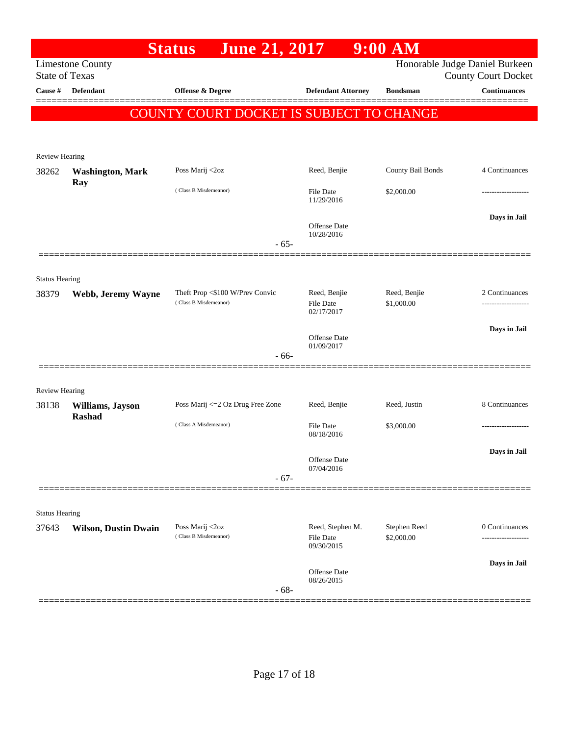| <b>Limestone County</b><br><b>State of Texas</b><br>Cause # | Defendant                   |                                          |                                   |                   | Honorable Judge Daniel Burkeen                    |
|-------------------------------------------------------------|-----------------------------|------------------------------------------|-----------------------------------|-------------------|---------------------------------------------------|
|                                                             |                             |                                          |                                   |                   |                                                   |
|                                                             |                             | Offense & Degree                         | <b>Defendant Attorney</b>         | <b>Bondsman</b>   | <b>County Court Docket</b><br><b>Continuances</b> |
|                                                             |                             |                                          |                                   |                   |                                                   |
|                                                             |                             | COUNTY COURT DOCKET IS SUBJECT TO CHANGE |                                   |                   |                                                   |
|                                                             |                             |                                          |                                   |                   |                                                   |
| <b>Review Hearing</b>                                       |                             |                                          |                                   |                   |                                                   |
| 38262                                                       | <b>Washington, Mark</b>     | Poss Marij <2oz                          | Reed, Benjie                      | County Bail Bonds | 4 Continuances                                    |
|                                                             | Ray                         | (Class B Misdemeanor)                    | <b>File Date</b>                  | \$2,000.00        |                                                   |
|                                                             |                             |                                          | 11/29/2016                        |                   |                                                   |
|                                                             |                             |                                          | Offense Date                      |                   | Days in Jail                                      |
|                                                             |                             | $-65-$                                   | 10/28/2016                        |                   |                                                   |
|                                                             |                             |                                          |                                   |                   |                                                   |
| <b>Status Hearing</b>                                       |                             |                                          |                                   |                   |                                                   |
| 38379                                                       | Webb, Jeremy Wayne          | Theft Prop <\$100 W/Prev Convic          | Reed, Benjie                      | Reed, Benjie      | 2 Continuances                                    |
|                                                             |                             | (Class B Misdemeanor)                    | File Date<br>02/17/2017           | \$1,000.00        |                                                   |
|                                                             |                             |                                          |                                   |                   | Days in Jail                                      |
|                                                             |                             |                                          | <b>Offense</b> Date<br>01/09/2017 |                   |                                                   |
|                                                             |                             | $-66-$                                   |                                   |                   |                                                   |
|                                                             |                             |                                          |                                   |                   |                                                   |
| Review Hearing                                              |                             |                                          |                                   |                   |                                                   |
| 38138                                                       | Williams, Jayson            | Poss Marij <= 2 Oz Drug Free Zone        | Reed, Benjie                      | Reed, Justin      | 8 Continuances                                    |
|                                                             | Rashad                      | (Class A Misdemeanor)                    | File Date                         | \$3,000.00        |                                                   |
|                                                             |                             |                                          | 08/18/2016                        |                   |                                                   |
|                                                             |                             |                                          | Offense Date                      |                   | Days in Jail                                      |
|                                                             |                             | $-67-$                                   | 07/04/2016                        |                   |                                                   |
|                                                             |                             |                                          |                                   |                   |                                                   |
| <b>Status Hearing</b>                                       |                             |                                          |                                   |                   |                                                   |
| 37643                                                       | <b>Wilson, Dustin Dwain</b> | Poss Marij <2oz                          | Reed, Stephen M.                  | Stephen Reed      | 0 Continuances                                    |
|                                                             |                             | (Class B Misdemeanor)                    | File Date<br>09/30/2015           | \$2,000.00        |                                                   |
|                                                             |                             |                                          |                                   |                   | Days in Jail                                      |
|                                                             |                             |                                          | Offense Date<br>08/26/2015        |                   |                                                   |
|                                                             |                             | $-68-$                                   |                                   |                   |                                                   |